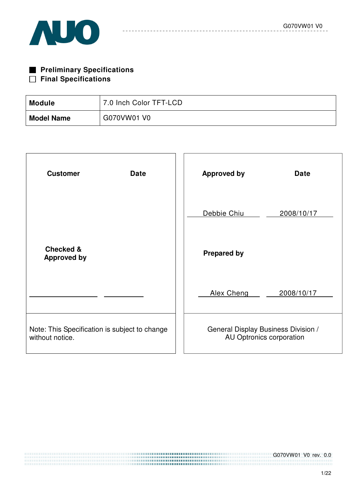

| <b>Preliminary Specifications</b> |
|-----------------------------------|
| $\Box$ Final Specifications       |

| Module            | 7.0 Inch Color TFT-LCD |
|-------------------|------------------------|
| <b>Model Name</b> | G070VW01 V0            |

| <b>Customer</b><br><b>Date</b>                                   | <b>Approved by</b><br><b>Date</b>                               |
|------------------------------------------------------------------|-----------------------------------------------------------------|
|                                                                  | Debbie Chiu<br>2008/10/17                                       |
| <b>Checked &amp;</b><br><b>Approved by</b>                       | <b>Prepared by</b>                                              |
|                                                                  | Alex Cheng<br>2008/10/17                                        |
| Note: This Specification is subject to change<br>without notice. | General Display Business Division /<br>AU Optronics corporation |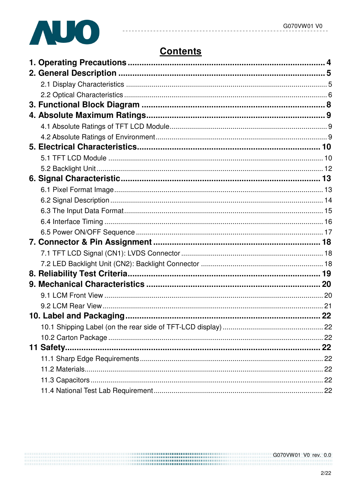

# **Contents**

 $\sim$   $\sim$  $\sim$   $\sim$  $\sim$   $-$ 

 $- - - - - -$ 

| 11 Safety | 22 |
|-----------|----|
|           |    |
|           |    |
|           |    |
|           |    |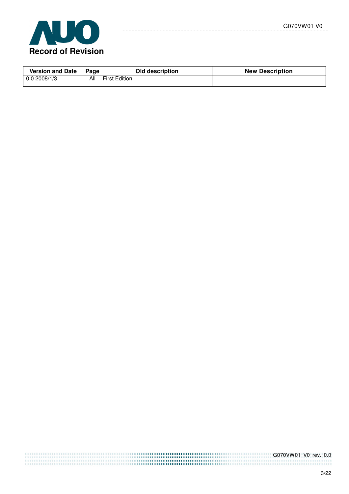

| <b>Version and Date</b> | Page | Old description      | <b>New Description</b> |
|-------------------------|------|----------------------|------------------------|
| 0.02008/1/3             | All  | <b>First Edition</b> |                        |

 $\sim$   $\sim$ 

 $= -$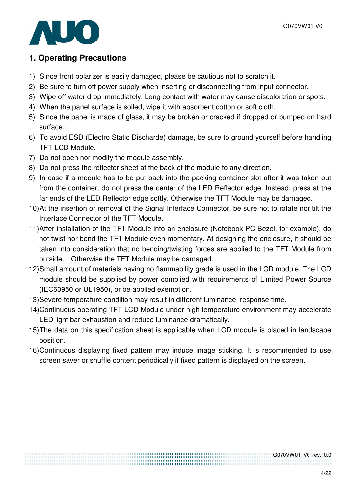

## **1. Operating Precautions**

- 1) Since front polarizer is easily damaged, please be cautious not to scratch it.
- 2) Be sure to turn off power supply when inserting or disconnecting from input connector.
- 3) Wipe off water drop immediately. Long contact with water may cause discoloration or spots.
- 4) When the panel surface is soiled, wipe it with absorbent cotton or soft cloth.
- 5) Since the panel is made of glass, it may be broken or cracked if dropped or bumped on hard surface.
- 6) To avoid ESD (Electro Static Discharde) damage, be sure to ground yourself before handling TFT-LCD Module.
- 7) Do not open nor modify the module assembly.
- 8) Do not press the reflector sheet at the back of the module to any direction.
- 9) In case if a module has to be put back into the packing container slot after it was taken out from the container, do not press the center of the LED Reflector edge. Instead, press at the far ends of the LED Reflector edge softly. Otherwise the TFT Module may be damaged.
- 10) At the insertion or removal of the Signal Interface Connector, be sure not to rotate nor tilt the Interface Connector of the TFT Module.
- 11) After installation of the TFT Module into an enclosure (Notebook PC Bezel, for example), do not twist nor bend the TFT Module even momentary. At designing the enclosure, it should be taken into consideration that no bending/twisting forces are applied to the TFT Module from outside. Otherwise the TFT Module may be damaged.
- 12) Small amount of materials having no flammability grade is used in the LCD module. The LCD module should be supplied by power complied with requirements of Limited Power Source (IEC60950 or UL1950), or be applied exemption.
- 13) Severe temperature condition may result in different luminance, response time.
- 14) Continuous operating TFT-LCD Module under high temperature environment may accelerate LED light bar exhaustion and reduce luminance dramatically.
- 15) The data on this specification sheet is applicable when LCD module is placed in landscape position.
- 16) Continuous displaying fixed pattern may induce image sticking. It is recommended to use screen saver or shuffle content periodically if fixed pattern is displayed on the screen.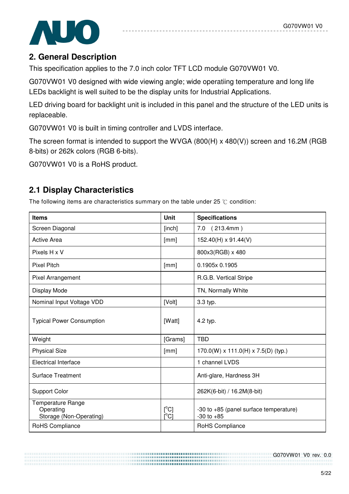

## **2. General Description**

This specification applies to the 7.0 inch color TFT LCD module G070VW01 V0.

G070VW01 V0 designed with wide viewing angle; wide operatiing temperature and long life LEDs backlight is well suited to be the display units for Industrial Applications.

LED driving board for backlight unit is included in this panel and the structure of the LED units is replaceable.

G070VW01 V0 is built in timing controller and LVDS interface.

The screen format is intended to support the WVGA (800(H) x 480(V)) screen and 16.2M (RGB 8-bits) or 262k colors (RGB 6-bits).

G070VW01 V0 is a RoHS product.

# **2.1 Display Characteristics**

The following items are characteristics summary on the table under 25  $\degree$ C condition:

| <b>Items</b>                                                     | <b>Unit</b>                             | <b>Specifications</b>                                    |
|------------------------------------------------------------------|-----------------------------------------|----------------------------------------------------------|
| Screen Diagonal                                                  | [inch]                                  | 7.0 (213.4mm)                                            |
| <b>Active Area</b>                                               | [mm]                                    | $152.40(H) \times 91.44(V)$                              |
| Pixels H x V                                                     |                                         | 800x3(RGB) x 480                                         |
| <b>Pixel Pitch</b>                                               | [mm]                                    | 0.1905x 0.1905                                           |
| Pixel Arrangement                                                |                                         | R.G.B. Vertical Stripe                                   |
| Display Mode                                                     |                                         | TN, Normally White                                       |
| Nominal Input Voltage VDD                                        | [Volt]                                  | 3.3 typ.                                                 |
| <b>Typical Power Consumption</b>                                 | [Watt]                                  | 4.2 typ.                                                 |
| Weight                                                           | [Grams]                                 | <b>TBD</b>                                               |
| <b>Physical Size</b>                                             | [mm]                                    | $170.0(W) \times 111.0(H) \times 7.5(D)$ (typ.)          |
| <b>Electrical Interface</b>                                      |                                         | 1 channel LVDS                                           |
| <b>Surface Treatment</b>                                         |                                         | Anti-glare, Hardness 3H                                  |
| <b>Support Color</b>                                             |                                         | 262K(6-bit) / 16.2M(8-bit)                               |
| <b>Temperature Range</b><br>Operating<br>Storage (Non-Operating) | $[^{\circ}C]$<br>$\overline{C}^{\circ}$ | -30 to +85 (panel surface temperature)<br>$-30$ to $+85$ |
| RoHS Compliance                                                  |                                         | RoHS Compliance                                          |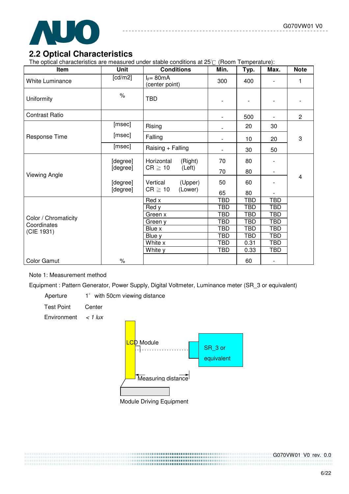

## **2.2 Optical Characteristics**

The optical characteristics are measured under stable conditions at  $25^\circ$  (Room Temperature):

| Item                   | <b>Unit</b> | <b>Conditions</b>              | Min.                     | Typ.       | Max.                     | <b>Note</b>    |
|------------------------|-------------|--------------------------------|--------------------------|------------|--------------------------|----------------|
| <b>White Luminance</b> | [ $cd/m2$ ] | $I_F = 80mA$<br>(center point) | 300                      | 400        |                          | 1              |
| Uniformity             | $\%$        | <b>TBD</b>                     | $\overline{\phantom{m}}$ |            |                          |                |
| <b>Contrast Ratio</b>  |             |                                | $\overline{\phantom{0}}$ | 500        |                          | $\overline{2}$ |
|                        | [msec]      | Rising                         |                          | 20         | 30                       |                |
| Response Time          | [msec]      | Falling                        |                          | 10         | 20                       | 3              |
|                        | [msec]      | Raising + Falling              |                          | 30         | 50                       |                |
|                        | [degree]    | Horizontal<br>(Right)          | 70                       | 80         |                          |                |
| Viewing Angle          | [degree]    | $CR \geq 10$<br>(Left)         | 70                       | 80         |                          |                |
|                        | [degree]    | Vertical<br>(Upper)            | 50                       | 60         |                          | $\overline{4}$ |
|                        | [degree]    | $CR \geq 10$<br>(Lower)        | 65                       | 80         |                          |                |
|                        |             | Red x                          | <b>TBD</b>               | <b>TBD</b> | <b>TBD</b>               |                |
|                        |             | Red y                          | <b>TBD</b>               | <b>TBD</b> | <b>TBD</b>               |                |
| Color / Chromaticity   |             | Green x                        | <b>TBD</b>               | <b>TBD</b> | <b>TBD</b>               |                |
| Coordinates            |             | Green y                        | <b>TBD</b>               | <b>TBD</b> | <b>TBD</b>               |                |
| (CIE 1931)             |             | Blue x                         | TBD                      | TBD        | TBD                      |                |
|                        |             | Blue y                         | <b>TBD</b>               | <b>TBD</b> | <b>TBD</b>               |                |
|                        |             | White x                        | <b>TBD</b>               | 0.31       | <b>TBD</b>               |                |
|                        |             | White y                        | <b>TBD</b>               | 0.33       | <b>TBD</b>               |                |
| <b>Color Gamut</b>     | $\%$        |                                |                          | 60         | $\overline{\phantom{a}}$ |                |

#### Note 1: Measurement method

Equipment : Pattern Generator, Power Supply, Digital Voltmeter, Luminance meter (SR\_3 or equivalent)

Aperture  $1^\circ$  with 50cm viewing distance

- Test Point Center
- Environment  $\lt$  1 lux

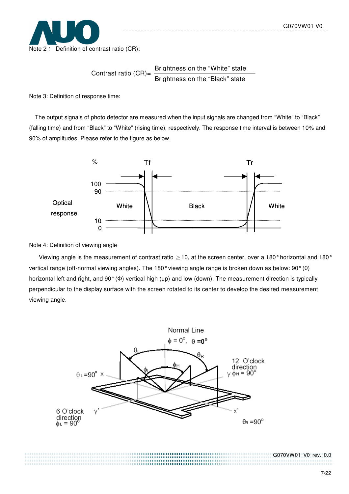

Contrast ratio  $(CR)$ = Brightness on the "White" state Brightness on the "Black" state

Note 3: Definition of response time:

The output signals of photo detector are measured when the input signals are changed from "White" to "Black" (falling time) and from "Black" to "White" (rising time), respectively. The response time interval is between 10% and 90% of amplitudes. Please refer to the figure as below.



Note 4: Definition of viewing angle

Viewing angle is the measurement of contrast ratio  $\geq$  10, at the screen center, over a 180° horizontal and 180° vertical range (off-normal viewing angles). The 180° viewing angle range is broken down as below: 90° (θ) horizontal left and right, and 90° (Φ) vertical high (up) and low (down). The measurement direction is typically perpendicular to the display surface with the screen rotated to its center to develop the desired measurement viewing angle.

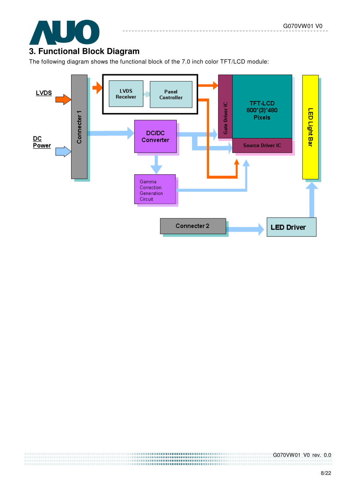

# **3. Functional Block Diagram**

The following diagram shows the functional block of the 7.0 inch color TFT/LCD module:

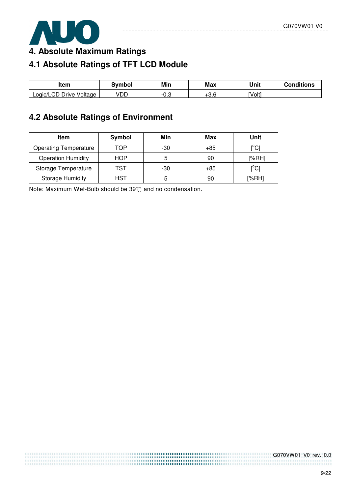

**4. Absolute Maximum Ratings** 

# **4.1 Absolute Ratings of TFT LCD Module**

| Item                    | Svmbol | Min  | Max        | Unit   | <b>Conditions</b> |
|-------------------------|--------|------|------------|--------|-------------------|
| Logic/LCD Drive Voltage | VDD    | ت.∪- | റെ<br>0.∪+ | [Volt] |                   |

# **4.2 Absolute Ratings of Environment**

| Item                         | Symbol | Min | Max   | Unit                           |
|------------------------------|--------|-----|-------|--------------------------------|
| <b>Operating Temperature</b> | TOP    | -30 | +85   | <sup>ro</sup> C]               |
| <b>Operation Humidity</b>    | HOP    | 5   | 90    | [%RH]                          |
| Storage Temperature          | TST    | -30 | $+85$ | $\mathop{\rm l}{\rm c}{\rm l}$ |
| <b>Storage Humidity</b>      | HST    | 5   | 90    | [%RH]                          |

Note: Maximum Wet-Bulb should be  $39^{\circ}$ C and no condensation.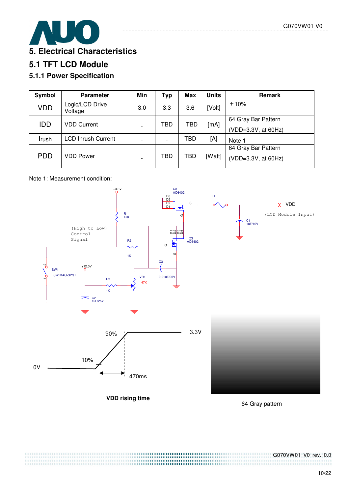

## **5.1 TFT LCD Module**

### **5.1.1 Power Specification**

| Symbol     | <b>Parameter</b>           | Min | <b>Typ</b> | <b>Max</b> | <b>Units</b> | Remark              |
|------------|----------------------------|-----|------------|------------|--------------|---------------------|
| <b>VDD</b> | Logic/LCD Drive<br>Voltage | 3.0 | 3.3        | 3.6        | [Volt]       | ±10%                |
| <b>IDD</b> | <b>VDD Current</b>         |     | TBD        | TBD        | [mA]         | 64 Gray Bar Pattern |
|            |                            |     |            |            |              | (VDD=3.3V, at 60Hz) |
| Irush      | <b>LCD Inrush Current</b>  |     |            | TBD        | [A]          | Note 1              |
|            |                            |     |            |            |              | 64 Gray Bar Pattern |
| <b>PDD</b> | VDD Power                  |     | TBD        | TBD        | [Watt]       | (VDD=3.3V, at 60Hz) |

#### Note 1: Measurement condition:



64 Gray pattern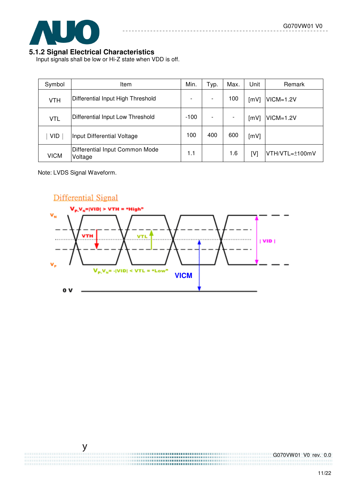

#### **5.1.2 Signal Electrical Characteristics**

Input signals shall be low or Hi-Z state when VDD is off.

| Symbol      | Item                                      |        | Typ. | Max.                     | Unit | Remark         |
|-------------|-------------------------------------------|--------|------|--------------------------|------|----------------|
| <b>VTH</b>  | Differential Input High Threshold         |        |      | 100                      | [mV] | $VICM=1.2V$    |
| <b>VTL</b>  | Differential Input Low Threshold          | $-100$ |      | $\overline{\phantom{a}}$ | [mV] | $VICM=1.2V$    |
| <b>VID</b>  | Input Differential Voltage                | 100    | 400  | 600                      | [mV] |                |
| <b>VICM</b> | Differential Input Common Mode<br>Voltage | 1.1    |      | 1.6                      | [V]  | VTH/VTL=±100mV |

Note: LVDS Signal Waveform.

 $\overline{y}$ 

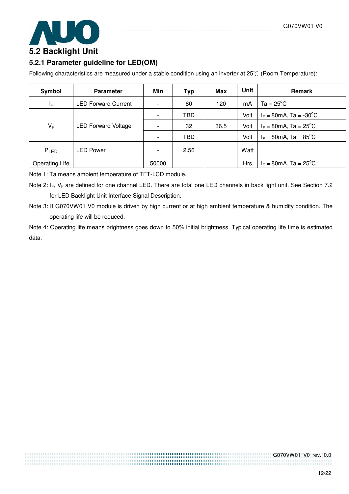

### **5.2.1 Parameter guideline for LED(OM)**

Following characteristics are measured under a stable condition using an inverter at  $25^{\circ}$  (Room Temperature):

| Symbol                  | <b>Parameter</b>           | Min                      | <b>Typ</b> | Max  | Unit       | <b>Remark</b>                                  |
|-------------------------|----------------------------|--------------------------|------------|------|------------|------------------------------------------------|
| $\mathsf{l}_\mathsf{F}$ | <b>LED Forward Current</b> | $\overline{\phantom{a}}$ | 80         | 120  | mA         | $Ta = 25^{\circ}C$                             |
|                         |                            | $\overline{\phantom{a}}$ | TBD        |      | Volt       | $I_F = 80 \text{mA}$ , Ta = -30 <sup>o</sup> C |
| $V_F$                   | <b>LED Forward Voltage</b> | $\overline{\phantom{a}}$ | 32         | 36.5 | Volt       | $I_F = 80 \text{mA}$ , Ta = 25 <sup>°</sup> C  |
|                         |                            | $\overline{\phantom{a}}$ | <b>TBD</b> |      | Volt       | $I_F = 80 \text{mA}$ , Ta = 85 <sup>°</sup> C  |
| PLED                    | LED Power                  | $\overline{\phantom{a}}$ | 2.56       |      | Watt       |                                                |
| Operating Life          |                            | 50000                    |            |      | <b>Hrs</b> | $I_F = 80 \text{mA}$ , Ta = 25 <sup>°</sup> C  |

Note 1: Ta means ambient temperature of TFT-LCD module.

Note 2:  $I_F$ ,  $V_F$  are defined for one channel LED. There are total one LED channels in back light unit. See Section 7.2 for LED Backlight Unit Interface Signal Description.

Note 3: If G070VW01 V0 module is driven by high current or at high ambient temperature & humidity condition. The operating life will be reduced.

Note 4: Operating life means brightness goes down to 50% initial brightness. Typical operating life time is estimated data.

> ,,,,,,,,,,,,,,,,,,,,,,,,,,,,,,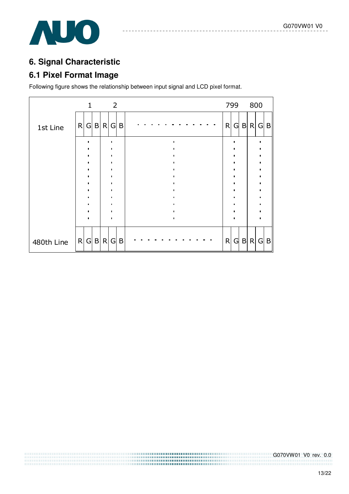

# **6. Signal Characteristic**

## **6.1 Pixel Format Image**

Following figure shows the relationship between input signal and LCD pixel format.

|            |   |              |     | 2            |   |  |  |  |  |  |  |              | 799            |   | 800 |     |
|------------|---|--------------|-----|--------------|---|--|--|--|--|--|--|--------------|----------------|---|-----|-----|
| 1st Line   | R | $\mathsf{G}$ | B R | G            | B |  |  |  |  |  |  | $\mathsf{R}$ | G              | B | R   | G B |
|            |   |              |     |              |   |  |  |  |  |  |  |              |                |   |     |     |
|            |   |              |     |              |   |  |  |  |  |  |  |              |                |   |     |     |
|            |   |              |     |              |   |  |  |  |  |  |  |              |                |   |     |     |
|            |   |              |     |              |   |  |  |  |  |  |  |              |                |   |     |     |
|            |   |              |     |              |   |  |  |  |  |  |  |              |                |   |     |     |
|            |   |              |     |              |   |  |  |  |  |  |  |              |                |   |     |     |
| 480th Line |   | R G          | B R | $\mathsf{G}$ | B |  |  |  |  |  |  | $\mathsf{R}$ | $\overline{G}$ |   | B R | G B |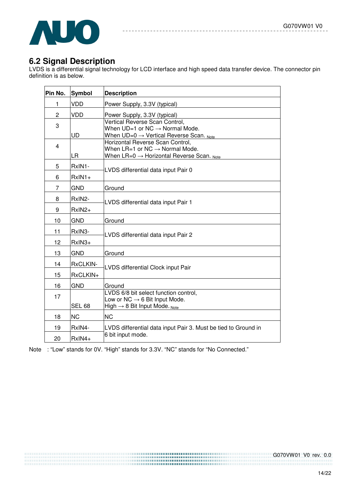

## **6.2 Signal Description**

LVDS is a differential signal technology for LCD interface and high speed data transfer device. The connector pin definition is as below.

| Pin No.        | Symbol              | <b>Description</b>                                                                                                                        |
|----------------|---------------------|-------------------------------------------------------------------------------------------------------------------------------------------|
| 1              | VDD                 | Power Supply, 3.3V (typical)                                                                                                              |
| $\overline{2}$ | <b>VDD</b>          | Power Supply, 3.3V (typical)                                                                                                              |
| 3              | UD                  | Vertical Reverse Scan Control,<br>When $UD=1$ or NC $\rightarrow$ Normal Mode.<br>When $UD=0 \rightarrow V$ ertical Reverse Scan. Note    |
| $\overline{4}$ | LR.                 | Horizontal Reverse Scan Control,<br>When $LR=1$ or NC $\rightarrow$ Normal Mode.<br>When $LR=0 \rightarrow$ Horizontal Reverse Scan. Note |
| 5<br>6         | RxIN1-<br>$RxIN1+$  | LVDS differential data input Pair 0                                                                                                       |
| 7              | <b>GND</b>          | Ground                                                                                                                                    |
| 8<br>9         | RxIN2-<br>$RxIN2+$  | LVDS differential data input Pair 1                                                                                                       |
| 10             | <b>GND</b>          | Ground                                                                                                                                    |
| 11             | RxIN <sub>3</sub> - | LVDS differential data input Pair 2                                                                                                       |
| 12             | RxIN3+              |                                                                                                                                           |
| 13             | <b>GND</b>          | Ground                                                                                                                                    |
| 14             | RxCLKIN-            | LVDS differential Clock input Pair                                                                                                        |
| 15             | RxCLKIN+            |                                                                                                                                           |
| 16             | <b>GND</b>          | Ground                                                                                                                                    |
| 17             | <b>SEL 68</b>       | LVDS 6/8 bit select function control,<br>Low or NC $\rightarrow$ 6 Bit Input Mode.<br>High $\rightarrow$ 8 Bit Input Mode. Note           |
| 18             | <b>NC</b>           | <b>NC</b>                                                                                                                                 |
| 19             | RxIN4-              | LVDS differential data input Pair 3. Must be tied to Ground in                                                                            |
| 20             | RxIN4+              | 6 bit input mode.                                                                                                                         |

Note : "Low" stands for 0V. "High" stands for 3.3V. "NC" stands for "No Connected."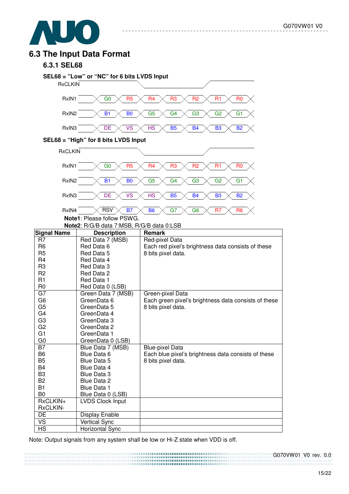

### **6.3 The Input Data Format**

#### **6.3.1 SEL68**



Note: Output signals from any system shall be low or Hi-Z state when VDD is off.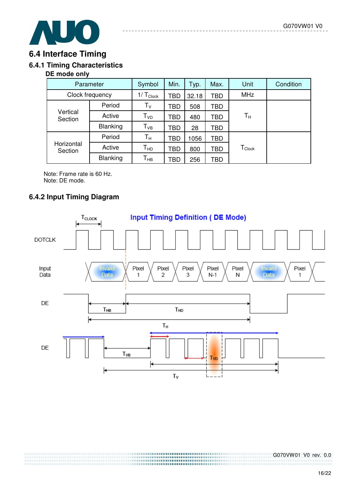

## **6.4 Interface Timing**

### **6.4.1 Timing Characteristics**

#### **DE mode only**

| Parameter             | Symbol        | Min.            | Typ.       | Max. | <b>Unit</b> | Condition                      |  |
|-----------------------|---------------|-----------------|------------|------|-------------|--------------------------------|--|
| Clock frequency       | $1/T_{Clock}$ | <b>TBD</b>      | 32.18      | TBD  | <b>MHz</b>  |                                |  |
| Vertical<br>Section   | Period        | $T_V$           | TBD        | 508  | TBD         |                                |  |
|                       | Active        | T <sub>VD</sub> | TBD        | 480  | TBD         | $\mathsf{T}_\mathsf{H}$        |  |
|                       | Blanking      | $T_{VB}$        | TBD        | 28   | TBD         |                                |  |
| Horizontal<br>Section | Period        | $T_{\rm H}$     | <b>TBD</b> | 1056 | TBD         |                                |  |
|                       | Active        | Т <sub>нр</sub> | <b>TBD</b> | 800  | TBD         | ${\mathsf T}_{\mathsf{Clock}}$ |  |
|                       | Blanking      |                 | TBD        | 256  | TBD         |                                |  |

Note: Frame rate is 60 Hz. Note: DE mode.

### **6.4.2 Input Timing Diagram**

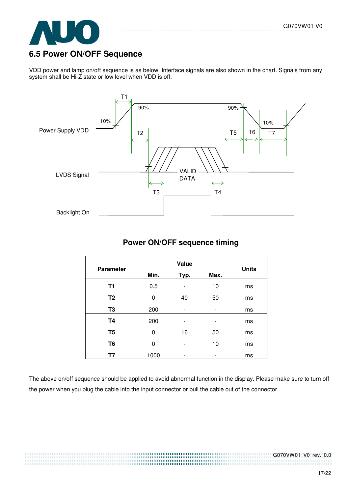

## **6.5 Power ON/OFF Sequence**

VDD power and lamp on/off sequence is as below. Interface signals are also shown in the chart. Signals from any system shall be Hi-Z state or low level when VDD is off.



### **Power ON/OFF sequence timing**

| <b>Parameter</b> | Min. | Typ. | Max. | <b>Units</b> |  |
|------------------|------|------|------|--------------|--|
| T1               | 0.5  |      | 10   | ms           |  |
| T <sub>2</sub>   | 0    | 40   | 50   | ms           |  |
| T <sub>3</sub>   | 200  |      |      | ms           |  |
| <b>T4</b>        | 200  |      |      | ms           |  |
| T <sub>5</sub>   | 0    | 16   | 50   | ms           |  |
| T <sub>6</sub>   | O    |      | 10   | ms           |  |
| Τ7               | 1000 |      | -    | ms           |  |

The above on/off sequence should be applied to avoid abnormal function in the display. Please make sure to turn off the power when you plug the cable into the input connector or pull the cable out of the connector.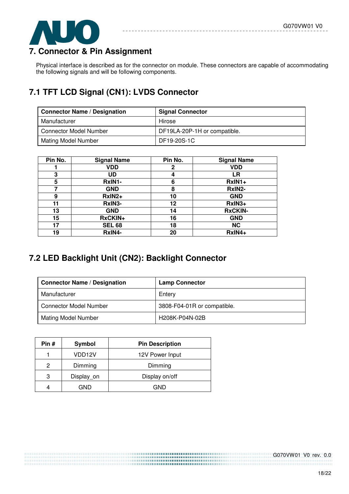

# **7. Connector & Pin Assignment**

Physical interface is described as for the connector on module. These connectors are capable of accommodating the following signals and will be following components.

# **7.1 TFT LCD Signal (CN1): LVDS Connector**

| <b>Connector Name / Designation</b> | <b>Signal Connector</b>      |
|-------------------------------------|------------------------------|
| Manufacturer                        | Hirose                       |
| <b>Connector Model Number</b>       | DF19LA-20P-1H or compatible. |
| <b>Mating Model Number</b>          | DF19-20S-1C                  |

| Pin No. | <b>Signal Name</b> | Pin No.      | <b>Signal Name</b> |
|---------|--------------------|--------------|--------------------|
|         | VDD                | $\mathbf{2}$ | <b>VDD</b>         |
| 3       | UD                 | 4            | LR                 |
| 5       | RxIN1-             | 6            | RxIN1+             |
|         | <b>GND</b>         | 8            | RxIN2-             |
| 9       | RxIN2+             | 10           | <b>GND</b>         |
| 11      | RxIN3-             | 12           | $RxIN3+$           |
| 13      | <b>GND</b>         | 14           | <b>RxCKIN-</b>     |
| 15      | RxCKIN+            | 16           | <b>GND</b>         |
| 17      | <b>SEL 68</b>      | 18           | <b>NC</b>          |
| 19      | RxIN4-             | 20           | RxIN4+             |

# **7.2 LED Backlight Unit (CN2): Backlight Connector**

| <b>Connector Name / Designation</b> | <b>Lamp Connector</b>       |
|-------------------------------------|-----------------------------|
| Manufacturer                        | Entery                      |
| <b>Connector Model Number</b>       | 3808-F04-01R or compatible. |
| <b>Mating Model Number</b>          | H208K-P04N-02B              |

| Pin # | Symbol              | <b>Pin Description</b> |
|-------|---------------------|------------------------|
|       | VDD <sub>12</sub> V | 12V Power Input        |
| 2     | Dimming             | Dimming                |
| З     | Display_on          | Display on/off         |
|       | GND                 | GND                    |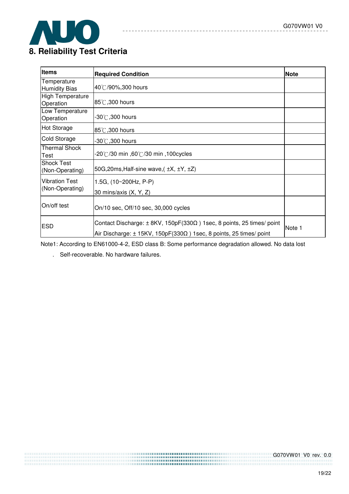

| <b>Items</b>                             | <b>Required Condition</b>                                                                                                                                             | <b>Note</b> |
|------------------------------------------|-----------------------------------------------------------------------------------------------------------------------------------------------------------------------|-------------|
| Temperature<br><b>Humidity Bias</b>      | 40°C/90%,300 hours                                                                                                                                                    |             |
| <b>High Temperature</b><br>Operation     | 85°C, 300 hours                                                                                                                                                       |             |
| Low Temperature<br>Operation             | $-30^{\circ}\mathrm{C}$ ,300 hours                                                                                                                                    |             |
| Hot Storage                              | 85°C, 300 hours                                                                                                                                                       |             |
| Cold Storage                             | $-30^{\circ}$ C,300 hours                                                                                                                                             |             |
| <b>Thermal Shock</b><br>Test             | .20℃/30 min ,60℃/30 min ,100cycles                                                                                                                                    |             |
| <b>Shock Test</b><br>(Non-Operating)     | 50G, 20ms, Half-sine wave, $(\pm X, \pm Y, \pm Z)$                                                                                                                    |             |
| <b>Vibration Test</b><br>(Non-Operating) | 1.5G, (10~200Hz, P-P)<br>30 mins/axis $(X, Y, Z)$                                                                                                                     |             |
| On/off test                              | On/10 sec, Off/10 sec, 30,000 cycles                                                                                                                                  |             |
| <b>ESD</b>                               | Contact Discharge: $\pm$ 8KV, 150pF(330 $\Omega$ ) 1sec, 8 points, 25 times/ point<br>Air Discharge: $\pm$ 15KV, 150pF(330 $\Omega$ ) 1sec, 8 points, 25 times/ point | Note 1      |

 $= -$ 

Note1: According to EN61000-4-2, ESD class B: Some performance degradation allowed. No data lost

. Self-recoverable. No hardware failures.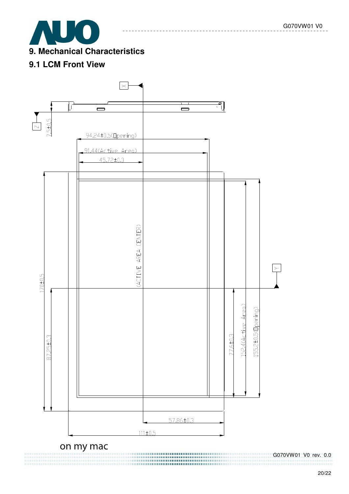

## **9.1 LCM Front View**

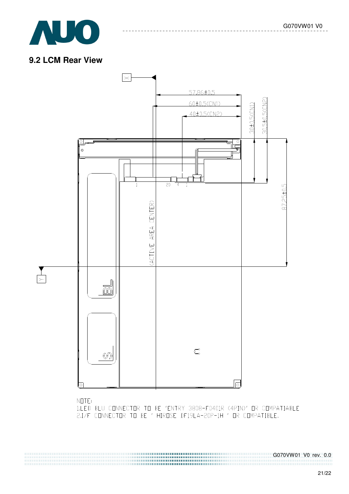

### **9.2 LCM Rear View**

 $N$  $T$  $E$ :



1.LED BLU CONNECTOR TO BE "ENTRY 3808-F0401R (4PIN)" OR COMPATIABLE

2.I/F CONNECTOR TO BE " HIROSE DF19LA-20P-1H " OR COMPATIBLE.